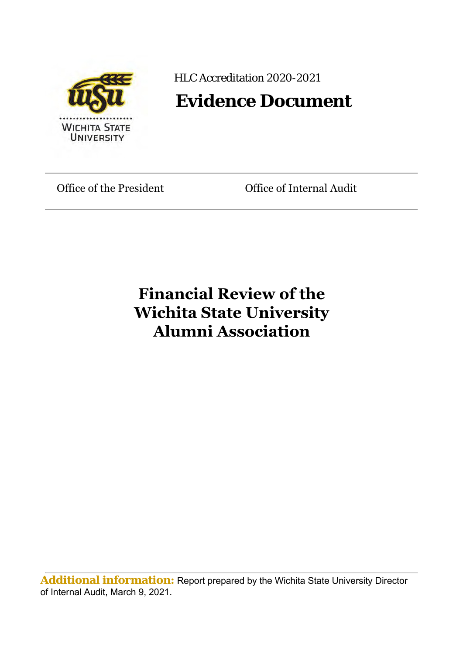

HLC Accreditation 2020-2021

# **Evidence Document**

Office of the President **Office of Internal Audit** 

# **Financial Review of the Wichita State University Alumni Association**

**Additional information:** Report prepared by the Wichita State University Director of Internal Audit, March 9, 2021.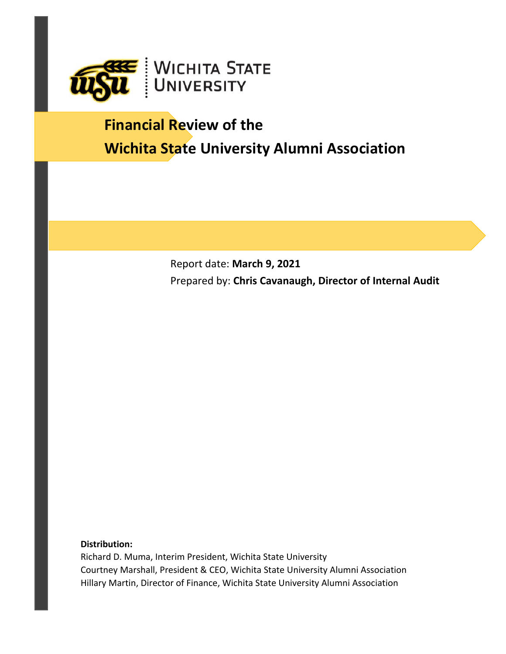

# **Financial Review of the Wichita State University Alumni Association**

Report date: **March 9, 2021** Prepared by: **Chris Cavanaugh, Director of Internal Audit**

#### **Distribution:**

Richard D. Muma, Interim President, Wichita State University Courtney Marshall, President & CEO, Wichita State University Alumni Association Hillary Martin, Director of Finance, Wichita State University Alumni Association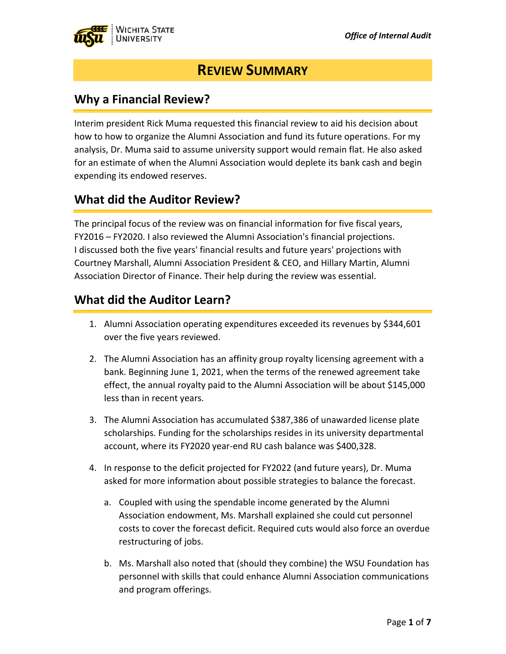

## **REVIEW SUMMARY**

### **Why a Financial Review?**

Interim president Rick Muma requested this financial review to aid his decision about how to how to organize the Alumni Association and fund its future operations. For my analysis, Dr. Muma said to assume university support would remain flat. He also asked for an estimate of when the Alumni Association would deplete its bank cash and begin expending its endowed reserves.

### **What did the Auditor Review?**

The principal focus of the review was on financial information for five fiscal years, FY2016 – FY2020. I also reviewed the Alumni Association's financial projections. I discussed both the five years' financial results and future years' projections with Courtney Marshall, Alumni Association President & CEO, and Hillary Martin, Alumni Association Director of Finance. Their help during the review was essential.

### **What did the Auditor Learn?**

- 1. Alumni Association operating expenditures exceeded its revenues by \$344,601 over the five years reviewed.
- 2. The Alumni Association has an affinity group royalty licensing agreement with a bank. Beginning June 1, 2021, when the terms of the renewed agreement take effect, the annual royalty paid to the Alumni Association will be about \$145,000 less than in recent years.
- 3. The Alumni Association has accumulated \$387,386 of unawarded license plate scholarships. Funding for the scholarships resides in its university departmental account, where its FY2020 year‐end RU cash balance was \$400,328.
- 4. In response to the deficit projected for FY2022 (and future years), Dr. Muma asked for more information about possible strategies to balance the forecast.
	- a. Coupled with using the spendable income generated by the Alumni Association endowment, Ms. Marshall explained she could cut personnel costs to cover the forecast deficit. Required cuts would also force an overdue restructuring of jobs.
	- b. Ms. Marshall also noted that (should they combine) the WSU Foundation has personnel with skills that could enhance Alumni Association communications and program offerings.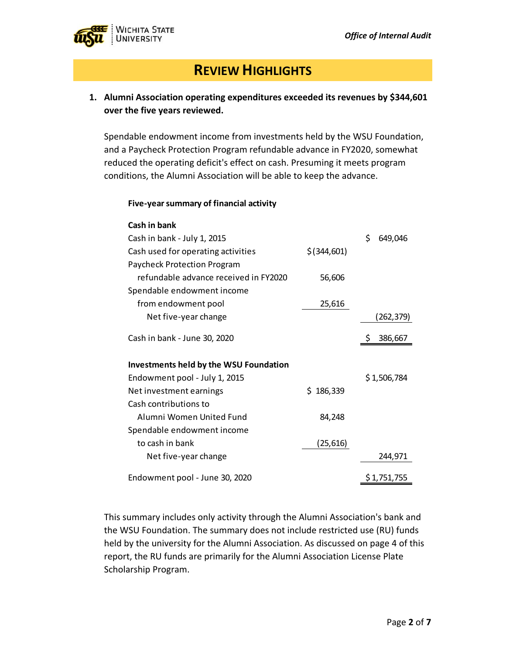

## **REVIEW HIGHLIGHTS**

#### **1. Alumni Association operating expenditures exceeded its revenues by \$344,601 over the five years reviewed.**

Spendable endowment income from investments held by the WSU Foundation, and a Paycheck Protection Program refundable advance in FY2020, somewhat reduced the operating deficit's effect on cash. Presuming it meets program conditions, the Alumni Association will be able to keep the advance.

**Five‐yearsummary of financial activity**

| Cash in bank                                  |               |               |
|-----------------------------------------------|---------------|---------------|
| Cash in bank - July 1, 2015                   |               | \$<br>649,046 |
| Cash used for operating activities            | $$$ (344,601) |               |
| <b>Paycheck Protection Program</b>            |               |               |
| refundable advance received in FY2020         | 56,606        |               |
| Spendable endowment income                    |               |               |
| from endowment pool                           | 25,616        |               |
| Net five-year change                          |               | (262,379)     |
| Cash in bank - June 30, 2020                  |               | 386,667       |
| <b>Investments held by the WSU Foundation</b> |               |               |
| Endowment pool - July 1, 2015                 |               | \$1,506,784   |
| Net investment earnings                       | \$186,339     |               |
| Cash contributions to                         |               |               |
| Alumni Women United Fund                      | 84,248        |               |
| Spendable endowment income                    |               |               |
| to cash in bank                               | (25, 616)     |               |
| Net five-year change                          |               | 244,971       |
| Endowment pool - June 30, 2020                |               | \$1,751,755   |

This summary includes only activity through the Alumni Association's bank and the WSU Foundation. The summary does not include restricted use (RU) funds held by the university for the Alumni Association. As discussed on page 4 of this report, the RU funds are primarily for the Alumni Association License Plate Scholarship Program.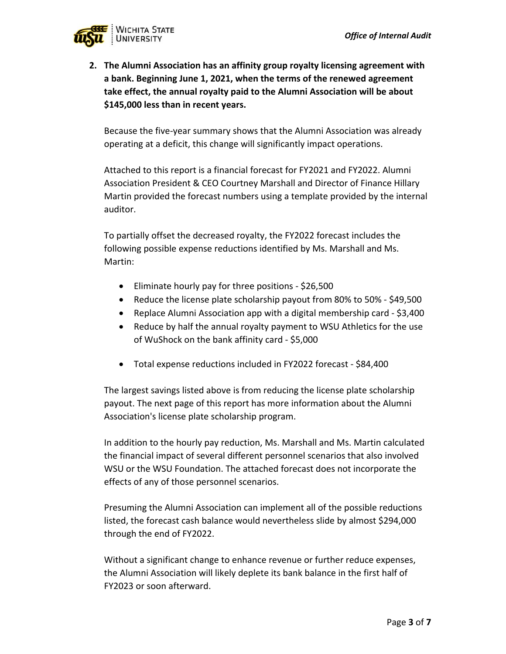

**2. The Alumni Association has an affinity group royalty licensing agreement with a bank. Beginning June 1, 2021, when the terms of the renewed agreement take effect, the annual royalty paid to the Alumni Association will be about \$145,000 less than in recent years.**

Because the five‐year summary shows that the Alumni Association was already operating at a deficit, this change will significantly impact operations.

Attached to this report is a financial forecast for FY2021 and FY2022. Alumni Association President & CEO Courtney Marshall and Director of Finance Hillary Martin provided the forecast numbers using a template provided by the internal auditor.

To partially offset the decreased royalty, the FY2022 forecast includes the following possible expense reductions identified by Ms. Marshall and Ms. Martin:

- Eliminate hourly pay for three positions \$26,500
- Reduce the license plate scholarship payout from 80% to 50% \$49,500
- Replace Alumni Association app with a digital membership card \$3,400
- Reduce by half the annual royalty payment to WSU Athletics for the use of WuShock on the bank affinity card ‐ \$5,000
- Total expense reductions included in FY2022 forecast ‐ \$84,400

The largest savings listed above is from reducing the license plate scholarship payout. The next page of this report has more information about the Alumni Association's license plate scholarship program.

In addition to the hourly pay reduction, Ms. Marshall and Ms. Martin calculated the financial impact of several different personnel scenarios that also involved WSU or the WSU Foundation. The attached forecast does not incorporate the effects of any of those personnel scenarios.

Presuming the Alumni Association can implement all of the possible reductions listed, the forecast cash balance would nevertheless slide by almost \$294,000 through the end of FY2022.

Without a significant change to enhance revenue or further reduce expenses, the Alumni Association will likely deplete its bank balance in the first half of FY2023 or soon afterward.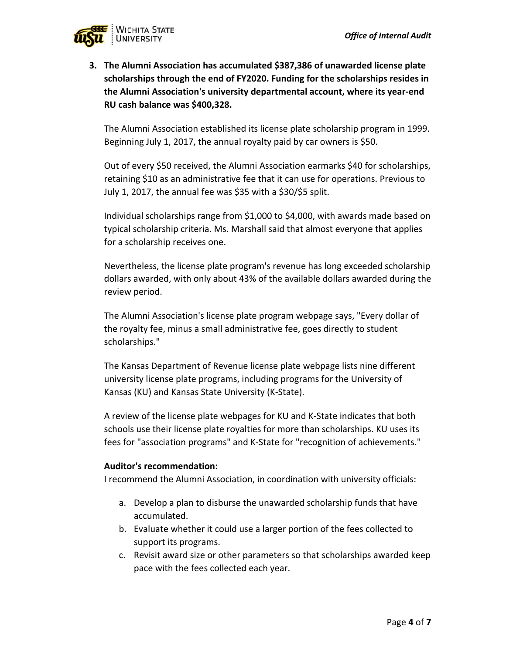

**3. The Alumni Association has accumulated \$387,386 of unawarded license plate scholarships through the end of FY2020. Funding for the scholarships resides in the Alumni Association's university departmental account, where its year‐end RU cash balance was \$400,328.** 

The Alumni Association established its license plate scholarship program in 1999. Beginning July 1, 2017, the annual royalty paid by car owners is \$50.

Out of every \$50 received, the Alumni Association earmarks \$40 for scholarships, retaining \$10 as an administrative fee that it can use for operations. Previous to July 1, 2017, the annual fee was \$35 with a \$30/\$5 split.

Individual scholarships range from \$1,000 to \$4,000, with awards made based on typical scholarship criteria. Ms. Marshall said that almost everyone that applies for a scholarship receives one.

Nevertheless, the license plate program's revenue has long exceeded scholarship dollars awarded, with only about 43% of the available dollars awarded during the review period.

The Alumni Association's license plate program webpage says, "Every dollar of the royalty fee, minus a small administrative fee, goes directly to student scholarships."

The Kansas Department of Revenue license plate webpage lists nine different university license plate programs, including programs for the University of Kansas (KU) and Kansas State University (K‐State).

A review of the license plate webpages for KU and K‐State indicates that both schools use their license plate royalties for more than scholarships. KU uses its fees for "association programs" and K‐State for "recognition of achievements."

#### **Auditor's recommendation:**

I recommend the Alumni Association, in coordination with university officials:

- a. Develop a plan to disburse the unawarded scholarship funds that have accumulated.
- b. Evaluate whether it could use a larger portion of the fees collected to support its programs.
- c. Revisit award size or other parameters so that scholarships awarded keep pace with the fees collected each year.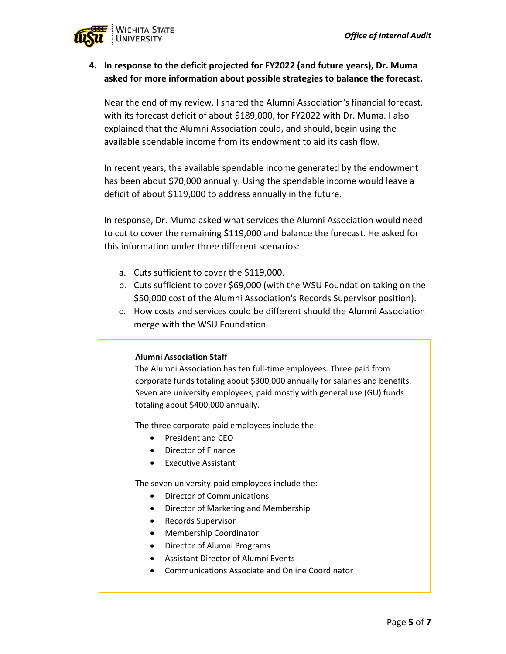

#### **4. In response to the deficit projected for FY2022 (and future years), Dr. Muma asked for more information about possible strategies to balance the forecast.**

Near the end of my review, I shared the Alumni Association's financial forecast, with its forecast deficit of about \$189,000, for FY2022 with Dr. Muma. I also explained that the Alumni Association could, and should, begin using the available spendable income from its endowment to aid its cash flow.

In recent years, the available spendable income generated by the endowment has been about \$70,000 annually. Using the spendable income would leave a deficit of about \$119,000 to address annually in the future.

In response, Dr. Muma asked what services the Alumni Association would need to cut to cover the remaining \$119,000 and balance the forecast. He asked for this information under three different scenarios:

- a. Cuts sufficient to cover the \$119,000.
- b. Cuts sufficient to cover \$69,000 (with the WSU Foundation taking on the \$50,000 cost of the Alumni Association's Records Supervisor position).
- c. How costs and services could be different should the Alumni Association merge with the WSU Foundation.

#### **Alumni Association Staff**

The Alumni Association has ten full‐time employees. Three paid from corporate funds totaling about \$300,000 annually for salaries and benefits. Seven are university employees, paid mostly with general use (GU) funds totaling about \$400,000 annually.

The three corporate‐paid employees include the:

- President and CEO
- Director of Finance
- Executive Assistant

The seven university‐paid employees include the:

- Director of Communications
- Director of Marketing and Membership
- Records Supervisor
- Membership Coordinator
- Director of Alumni Programs
- Assistant Director of Alumni Events
- Communications Associate and Online Coordinator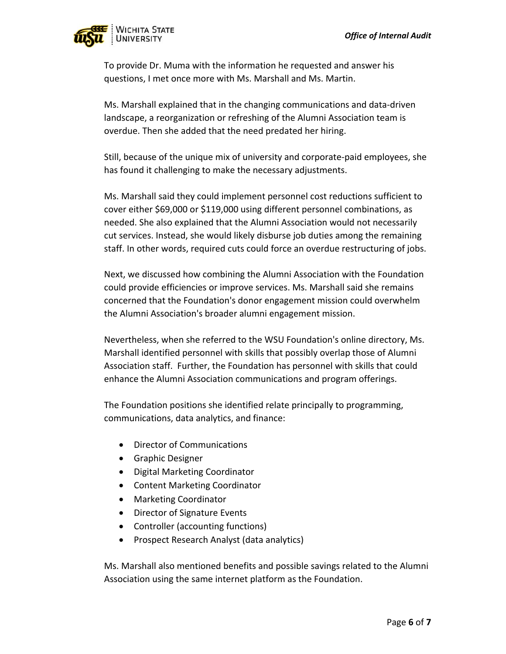

To provide Dr. Muma with the information he requested and answer his questions, I met once more with Ms. Marshall and Ms. Martin.

Ms. Marshall explained that in the changing communications and data‐driven landscape, a reorganization or refreshing of the Alumni Association team is overdue. Then she added that the need predated her hiring.

Still, because of the unique mix of university and corporate‐paid employees, she has found it challenging to make the necessary adjustments.

Ms. Marshall said they could implement personnel cost reductions sufficient to cover either \$69,000 or \$119,000 using different personnel combinations, as needed. She also explained that the Alumni Association would not necessarily cut services. Instead, she would likely disburse job duties among the remaining staff. In other words, required cuts could force an overdue restructuring of jobs.

Next, we discussed how combining the Alumni Association with the Foundation could provide efficiencies or improve services. Ms. Marshall said she remains concerned that the Foundation's donor engagement mission could overwhelm the Alumni Association's broader alumni engagement mission.

Nevertheless, when she referred to the WSU Foundation's online directory, Ms. Marshall identified personnel with skills that possibly overlap those of Alumni Association staff. Further, the Foundation has personnel with skills that could enhance the Alumni Association communications and program offerings.

The Foundation positions she identified relate principally to programming, communications, data analytics, and finance:

- Director of Communications
- **•** Graphic Designer
- Digital Marketing Coordinator
- Content Marketing Coordinator
- Marketing Coordinator
- Director of Signature Events
- Controller (accounting functions)
- Prospect Research Analyst (data analytics)

Ms. Marshall also mentioned benefits and possible savings related to the Alumni Association using the same internet platform as the Foundation.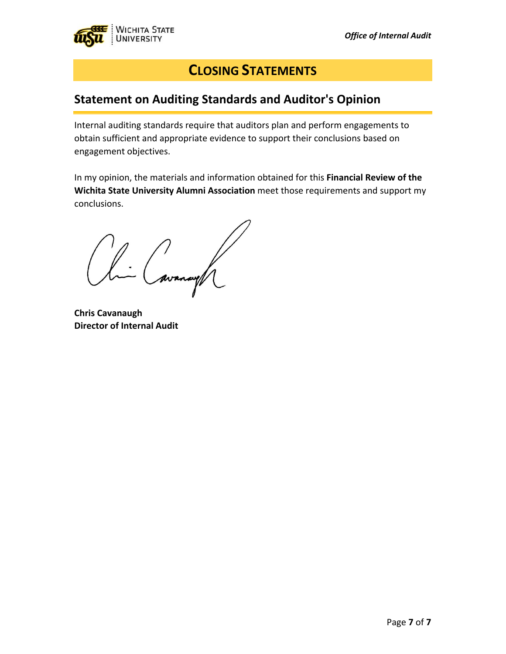

## **CLOSING STATEMENTS**

## **Statement on Auditing Standards and Auditor's Opinion**

Internal auditing standards require that auditors plan and perform engagements to obtain sufficient and appropriate evidence to support their conclusions based on engagement objectives.

In my opinion, the materials and information obtained for this **Financial Review of the Wichita State University Alumni Association** meet those requirements and support my conclusions.

li Cavanagh

**Chris Cavanaugh Director of Internal Audit**